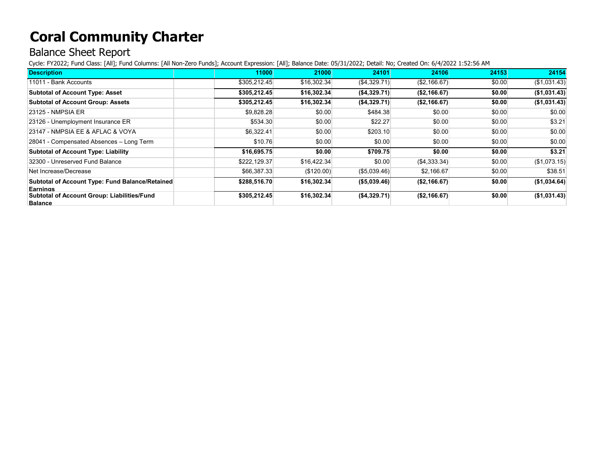## **Coral Community Charter**

## Balance Sheet Report

Cycle: FY2022; Fund Class: [All]; Fund Columns: [All Non-Zero Funds]; Account Expression: [All]; Balance Date: 05/31/2022; Detail: No; Created On: 6/4/2022 1:52:56 AM

| <b>Description</b>                                 | 11000        | 21000       | 24101         | 24106         | 24153  | 24154         |
|----------------------------------------------------|--------------|-------------|---------------|---------------|--------|---------------|
| 11011 - Bank Accounts                              | \$305,212.45 | \$16,302.34 | ( \$4,329.71) | (S2, 166.67)  | \$0.00 | ( \$1,031.43) |
| <b>Subtotal of Account Type: Asset</b>             | \$305,212.45 | \$16,302.34 | (S4, 329.71)  | (S2, 166.67)  | \$0.00 | (\$1,031.43)  |
| <b>Subtotal of Account Group: Assets</b>           | \$305.212.45 | \$16,302.34 | ( \$4,329.71) | (\$2,166.67)  | \$0.00 | (\$1,031.43)  |
| 23125 - NMPSIA ER                                  | \$9,828.28   | \$0.00      | \$484.38      | \$0.00        | \$0.00 | \$0.00        |
| 23126 - Unemployment Insurance ER                  | \$534.30     | \$0.00      | \$22.27       | \$0.00        | \$0.00 | \$3.21        |
| 23147 - NMPSIA EE & AFLAC & VOYA                   | \$6,322.41   | \$0.00      | \$203.10      | \$0.00        | \$0.00 | \$0.00        |
| 28041 - Compensated Absences - Long Term           | \$10.76      | \$0.00      | \$0.00        | \$0.00        | \$0.00 | \$0.00        |
| <b>Subtotal of Account Type: Liability</b>         | \$16,695.75  | \$0.00      | \$709.75      | \$0.00        | \$0.00 | \$3.21        |
| 32300 - Unreserved Fund Balance                    | \$222,129.37 | \$16,422.34 | \$0.00        | ( \$4,333.34) | \$0.00 | (\$1,073.15)  |
| Net Increase/Decrease                              | \$66,387.33  | (\$120.00)  | ( \$5,039.46) | \$2,166.67    | \$0.00 | \$38.51       |
| Subtotal of Account Type: Fund Balance/Retained    | \$288,516.70 | \$16,302.34 | ( \$5,039.46) | (\$2,166.67)  | \$0.00 | (\$1,034.64)  |
| Earnings                                           |              |             |               |               |        |               |
| <b>Subtotal of Account Group: Liabilities/Fund</b> | \$305,212.45 | \$16,302.34 | (\$4,329.71)  | (\$2,166.67)  | \$0.00 | (\$1,031.43)  |
| <b>Balance</b>                                     |              |             |               |               |        |               |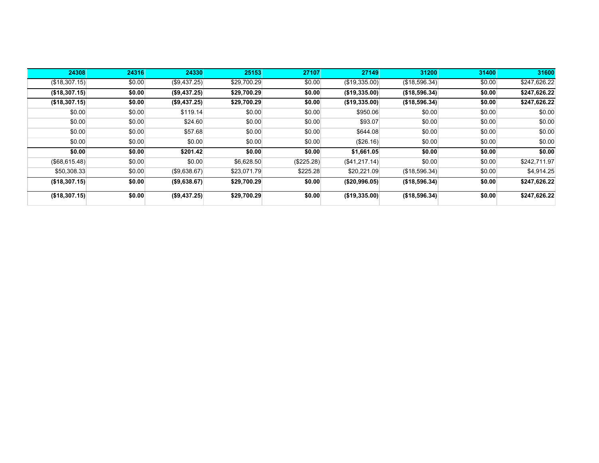| 24308         | 24316  | 24330         | 25153       | 27107      | 27149                | 31200         | 31400  | 31600        |
|---------------|--------|---------------|-------------|------------|----------------------|---------------|--------|--------------|
| (\$18,307.15) | \$0.00 | (S9, 437.25)  | \$29,700.29 | \$0.00     | $($ \$19,335.00) $ $ | (\$18,596.34) | \$0.00 | \$247,626.22 |
| (\$18,307.15) | \$0.00 | (\$9,437.25)  | \$29,700.29 | \$0.00     | (\$19,335.00)        | (\$18,596.34) | \$0.00 | \$247,626.22 |
| (\$18,307.15) | \$0.00 | (\$9,437.25)  | \$29,700.29 | \$0.00     | (\$19,335.00)        | (\$18,596.34) | \$0.00 | \$247,626.22 |
| \$0.00        | \$0.00 | \$119.14      | \$0.00      | \$0.00     | \$950.06             | \$0.00        | \$0.00 | \$0.00       |
| \$0.00        | \$0.00 | \$24.60       | \$0.00      | \$0.00     | \$93.07              | \$0.00        | \$0.00 | \$0.00       |
| \$0.00        | \$0.00 | \$57.68       | \$0.00      | \$0.00     | \$644.08             | \$0.00        | \$0.00 | \$0.00       |
| \$0.00        | \$0.00 | \$0.00        | \$0.00      | \$0.00     | (\$26.16)            | \$0.00        | \$0.00 | \$0.00       |
| \$0.00        | \$0.00 | \$201.42      | \$0.00      | \$0.00     | \$1,661.05           | \$0.00        | \$0.00 | \$0.00       |
| (\$68,615.48) | \$0.00 | \$0.00        | \$6,628.50  | (\$225.28) | (\$41,217.14)        | \$0.00        | \$0.00 | \$242,711.97 |
| \$50,308.33   | \$0.00 | (S9, 638.67)  | \$23,071.79 | \$225.28   | \$20,221.09          | (\$18,596.34) | \$0.00 | \$4,914.25   |
| (\$18,307.15) | \$0.00 | ( \$9,638.67) | \$29,700.29 | \$0.00     | ( \$20, 996.05)      | (\$18,596.34) | \$0.00 | \$247,626.22 |
| (\$18,307.15) | \$0.00 | (\$9,437.25)  | \$29,700.29 | \$0.00     | (\$19,335.00)        | (\$18,596.34) | \$0.00 | \$247,626.22 |